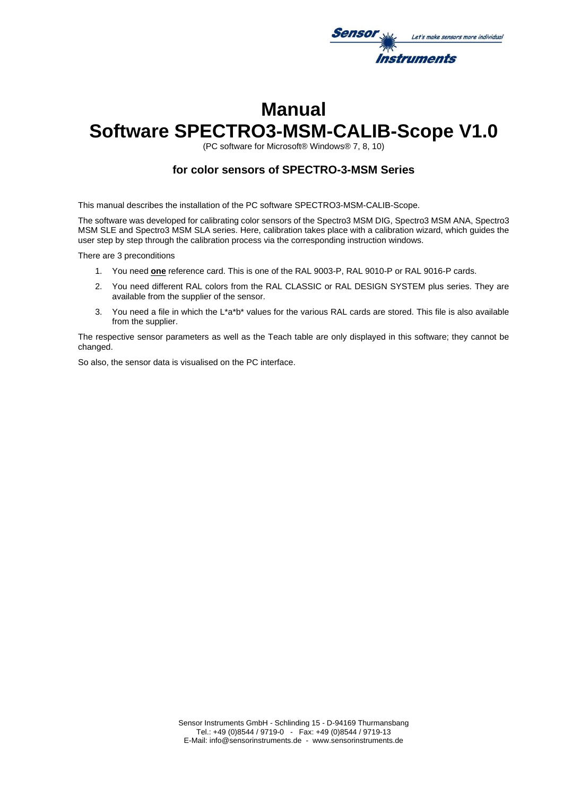

# **Manual Software SPECTRO3-MSM-CALIB-Scope V1.0**

(PC software for Microsoft® Windows® 7, 8, 10)

## **for color sensors of SPECTRO-3-MSM Series**

This manual describes the installation of the PC software SPECTRO3-MSM-CALIB-Scope.

The software was developed for calibrating color sensors of the Spectro3 MSM DIG, Spectro3 MSM ANA, Spectro3 MSM SLE and Spectro3 MSM SLA series. Here, calibration takes place with a calibration wizard, which guides the user step by step through the calibration process via the corresponding instruction windows.

There are 3 preconditions

- 1. You need **one** reference card. This is one of the RAL 9003-P, RAL 9010-P or RAL 9016-P cards.
- 2. You need different RAL colors from the RAL CLASSIC or RAL DESIGN SYSTEM plus series. They are available from the supplier of the sensor.
- 3. You need a file in which the L\*a\*b\* values for the various RAL cards are stored. This file is also available from the supplier.

The respective sensor parameters as well as the Teach table are only displayed in this software; they cannot be changed.

So also, the sensor data is visualised on the PC interface.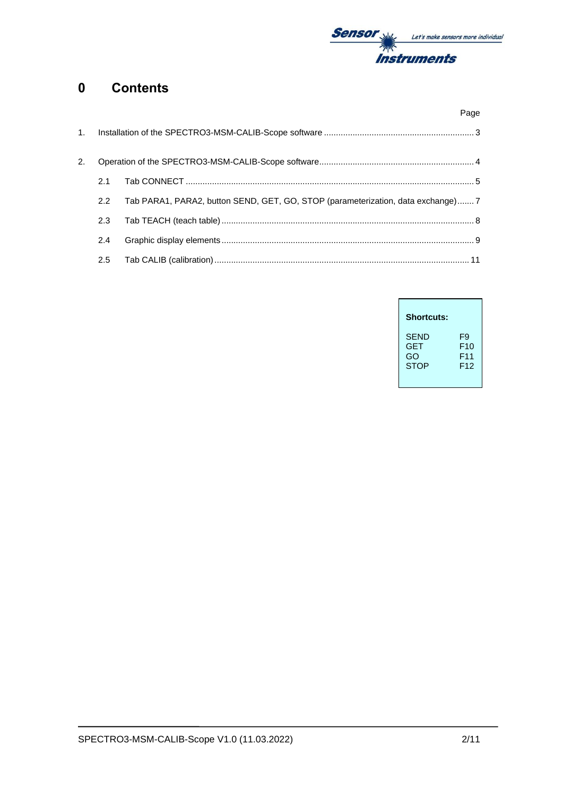

## **0 Contents**

| Page                                                                                             |  |
|--------------------------------------------------------------------------------------------------|--|
|                                                                                                  |  |
| 2.                                                                                               |  |
| 2.1                                                                                              |  |
| Tab PARA1, PARA2, button SEND, GET, GO, STOP (parameterization, data exchange)7<br>$2.2^{\circ}$ |  |
| 2.3                                                                                              |  |
| 2.4                                                                                              |  |
| 2.5                                                                                              |  |

| <b>Shortcuts:</b> |                 |
|-------------------|-----------------|
| SEND              | F9              |
| GET               | F <sub>10</sub> |
| GO                | F <sub>11</sub> |
| <b>STOP</b>       | F12             |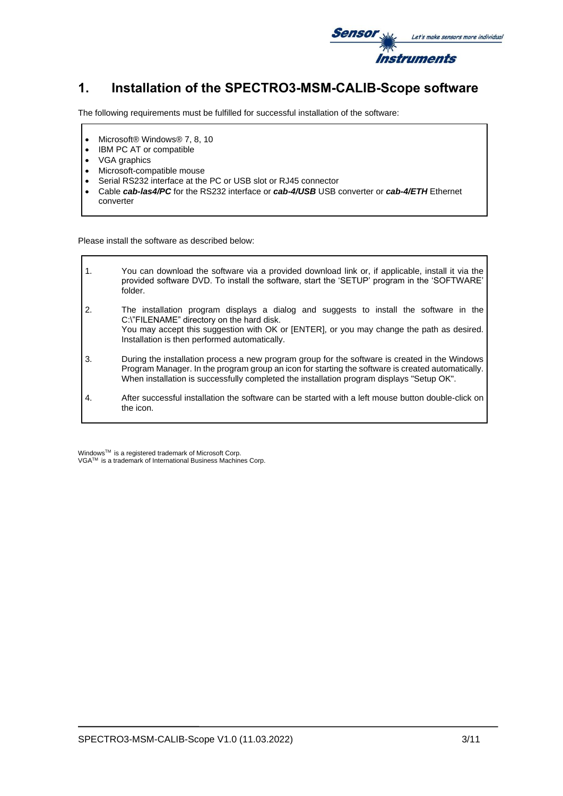

## **1. Installation of the SPECTRO3-MSM-CALIB-Scope software**

The following requirements must be fulfilled for successful installation of the software:

- Microsoft® Windows® 7, 8, 10
- IBM PC AT or compatible
- VGA graphics
- Microsoft-compatible mouse
- Serial RS232 interface at the PC or USB slot or RJ45 connector
- Cable *cab-las4/PC* for the RS232 interface or *cab-4/USB* USB converter or *cab-4/ETH* Ethernet converter

Please install the software as described below:

1. You can download the software via a provided download link or, if applicable, install it via the provided software DVD. To install the software, start the 'SETUP' program in the 'SOFTWARE' folder. 2. The installation program displays a dialog and suggests to install the software in the C:\"FILENAME" directory on the hard disk. You may accept this suggestion with OK or [ENTER], or you may change the path as desired. Installation is then performed automatically. 3. During the installation process a new program group for the software is created in the Windows Program Manager. In the program group an icon for starting the software is created automatically. When installation is successfully completed the installation program displays "Setup OK". 4. After successful installation the software can be started with a left mouse button double-click on the icon.

Windows<sup>™</sup> is a registered trademark of Microsoft Corp. VGA<sup>™</sup> is a trademark of International Business Machines Corp.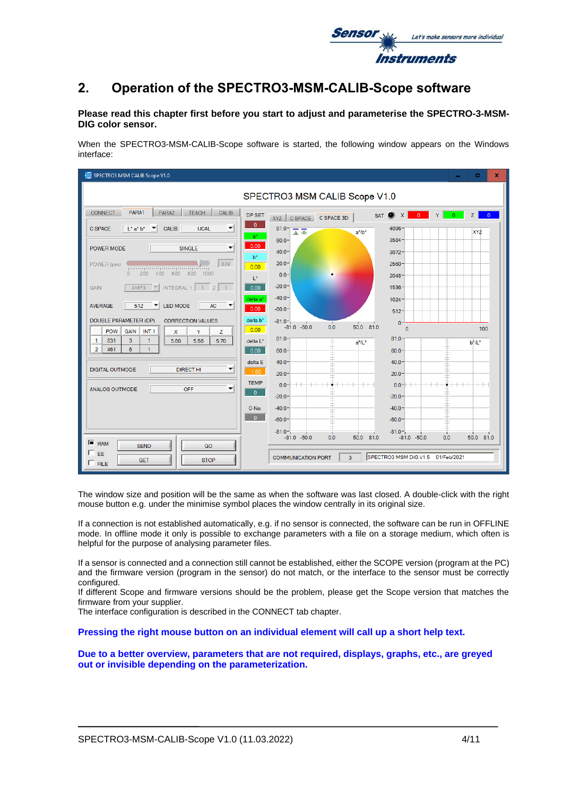

## **2. Operation of the SPECTRO3-MSM-CALIB-Scope software**

### **Please read this chapter first before you start to adjust and parameterise the SPECTRO-3-MSM-DIG color sensor.**

When the SPECTRO3-MSM-CALIB-Scope software is started, the following window appears on the Windows interface:

| SPECTRO3 MSM CALIB Scope V1.0                                                                                                                                                                                     |                                                                                                                                                                                                                           | ×<br>п                             |
|-------------------------------------------------------------------------------------------------------------------------------------------------------------------------------------------------------------------|---------------------------------------------------------------------------------------------------------------------------------------------------------------------------------------------------------------------------|------------------------------------|
|                                                                                                                                                                                                                   | SPECTRO3 MSM CALIB Scope V1.0                                                                                                                                                                                             |                                    |
| PARA1<br><b>TEACH</b><br>PARA2<br>CALIB<br><b>CONNECT</b><br>$\overline{\phantom{a}}$<br>$L^*$ a* $b^*$<br><b>CALIB</b><br><b>UCAL</b><br><b>C SPACE</b><br>$\mathbf{v}$                                          | SAT $\bullet x$<br>DP SET<br>XYZ C SPACE C SPACE 3D<br>$\mathbf{0}$<br>$81.0 -$<br>4096<br>第一本<br>$a^*/b^*$<br>$a^*$                                                                                                      | $-0$<br>Z<br>$\overline{0}$<br>XYZ |
| $\overline{\mathbf{v}}$<br>POWER MODE<br><b>SINGLE</b><br>889<br>POWER (pm)<br>procedure or procedure or professor<br>200 400 600<br>800 1000<br>$\Omega$                                                         | $60.0 -$<br>3584<br>0.00<br>$40.0 -$<br>3072<br>$h^*$<br>$20.0 -$<br>2560<br>0.00<br>$0.0 -$<br>$2048 -$                                                                                                                  |                                    |
| $\boxed{\tau}$ INTEGRAL 1 1 2 1<br>AMP3<br><b>GAIN</b><br>LED MODE<br>$\left  \cdot \right $<br><b>AVERAGE</b><br>512<br>AC<br>▼                                                                                  | $\mathbb{R}^*$<br>$-20.0-$<br>1536<br>0.00<br>$-40.0 -$<br>delta a*<br>$1024 -$<br>0.00<br>$-60.0 -$<br>$512 -$                                                                                                           |                                    |
| DOUBLE PARAMETER (DP)<br><b>CORRECTION VALUES</b><br>POW<br><b>GAIN</b><br>INT <sub>1</sub><br>$\mathsf{x}$<br>Y<br>z<br>831<br>3<br>1<br>1<br>5.60<br>5.56<br>5.70<br>$\overline{2}$<br>6<br>461<br>$\mathbf{1}$ | delta b*<br>$-81.0 -$<br>$0 -$<br>- 11<br>50.0 81.0<br>$-81.0 - 50.0$<br>0.0<br>$\Omega$<br>0.00<br>$81.0 -$<br>81.0 <sup>2</sup><br>delta L*<br>$a^*/L^*$<br>0.00<br>60.0<br>60.0 <sub>1</sub>                           | 100<br>$b^*/L^*$                   |
| <b>DIGITAL OUTMODE</b><br><b>DIRECT HI</b><br>▼<br>▼<br><b>ANALOG OUTMODE</b><br>OFF                                                                                                                              | delta E<br>$40.0 -$<br>40.0 <sup>°</sup><br>$-1.00$<br>$20.0 -$<br>20.0 <sup>1</sup><br><b>TEMP</b><br><del>---------------</del><br>$0.0 - + +$<br>$0.0 - + +$                                                           | <del>----------------</del>        |
|                                                                                                                                                                                                                   | $\Omega$<br>$-20.0 -$<br>$-20.0 -$<br>C-No:<br>$-40.0 -$<br>$-40.0$<br>$\Omega$<br>$-60.0 -$<br>$-60.0$<br>$-81.0 -$<br>$-81.0 -$<br>- 1<br>$\blacksquare$<br>50.0 81.0<br>0.0<br>$-81.0 - 50.0$<br>0.0<br>$-81.0 - 50.0$ | $\blacksquare$<br>50.0 81.0        |
| ╔<br><b>RAM</b><br><b>SEND</b><br>GO<br>EE<br><b>GET</b><br><b>STOP</b><br>$F$ FILE                                                                                                                               | SPECTRO3 MSM DIG V1.5 01/Feb/2021<br><b>COMMUNICATION PORT</b><br>$\overline{3}$                                                                                                                                          |                                    |

The window size and position will be the same as when the software was last closed. A double-click with the right mouse button e.g. under the minimise symbol places the window centrally in its original size.

If a connection is not established automatically, e.g. if no sensor is connected, the software can be run in OFFLINE mode. In offline mode it only is possible to exchange parameters with a file on a storage medium, which often is helpful for the purpose of analysing parameter files.

If a sensor is connected and a connection still cannot be established, either the SCOPE version (program at the PC) and the firmware version (program in the sensor) do not match, or the interface to the sensor must be correctly configured.

If different Scope and firmware versions should be the problem, please get the Scope version that matches the firmware from your supplier.

The interface configuration is described in the CONNECT tab chapter.

**Pressing the right mouse button on an individual element will call up a short help text.**

**Due to a better overview, parameters that are not required, displays, graphs, etc., are greyed out or invisible depending on the parameterization.**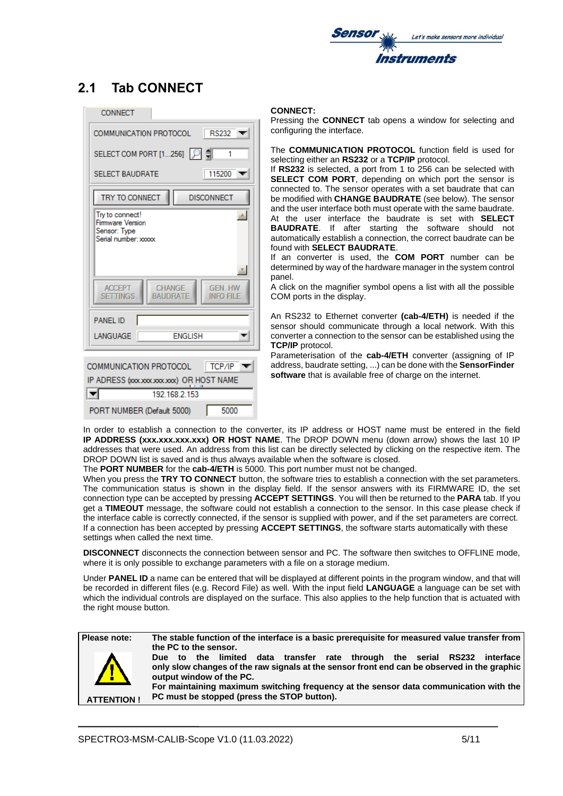

## **2.1 Tab CONNECT**

| <b>CONNECT</b>                                                                                    |
|---------------------------------------------------------------------------------------------------|
| COMMUNICATION PROTOCOL<br><b>RS232</b>                                                            |
| SELECT COM PORT [1256]   이 [<br>1                                                                 |
| 115200<br><b>SELECT BAUDRATE</b>                                                                  |
| TRY TO CONNECT<br><b>DISCONNECT</b>                                                               |
| Try to connect!<br>À,<br>Firmware Version<br>Sensor: Type<br>Serial number: xxxxx                 |
| ×<br>CHANGE<br><b>ACCEPT</b><br><b>GEN. HW</b><br><b>BAUDRATE</b><br><b>SETTINGS</b><br>INFO FILE |
| <b>PANEL ID</b>                                                                                   |
| <b>ENGLISH</b><br>LANGUAGE                                                                        |
|                                                                                                   |
| COMMUNICATION PROTOCOL<br>TCP/IP<br>IP ADRESS (xxxxxxxxxxxxx) OR HOST NAME<br>192.168.2.153       |

#### **CONNECT:**

Pressing the **CONNECT** tab opens a window for selecting and configuring the interface.

The **COMMUNICATION PROTOCOL** function field is used for selecting either an **RS232** or a **TCP/IP** protocol.

If **RS232** is selected, a port from 1 to 256 can be selected with **SELECT COM PORT**, depending on which port the sensor is connected to. The sensor operates with a set baudrate that can be modified with **CHANGE BAUDRATE** (see below). The sensor and the user interface both must operate with the same baudrate. At the user interface the baudrate is set with **SELECT BAUDRATE**. If after starting the software should not automatically establish a connection, the correct baudrate can be found with **SELECT BAUDRATE**.

If an converter is used, the **COM PORT** number can be determined by way of the hardware manager in the system control panel.

A click on the magnifier symbol opens a list with all the possible COM ports in the display.

An RS232 to Ethernet converter **(cab-4/ETH)** is needed if the sensor should communicate through a local network. With this converter a connection to the sensor can be established using the **TCP/IP** protocol.

Parameterisation of the **cab-4/ETH** converter (assigning of IP address, baudrate setting, ...) can be done with the **SensorFinder software** that is available free of charge on the internet.

In order to establish a connection to the converter, its IP address or HOST name must be entered in the field **IP ADDRESS (xxx.xxx.xxx.xxx) OR HOST NAME**. The DROP DOWN menu (down arrow) shows the last 10 IP addresses that were used. An address from this list can be directly selected by clicking on the respective item. The DROP DOWN list is saved and is thus always available when the software is closed.

The **PORT NUMBER** for the **cab-4/ETH** is 5000. This port number must not be changed.

When you press the **TRY TO CONNECT** button, the software tries to establish a connection with the set parameters. The communication status is shown in the display field. If the sensor answers with its FIRMWARE ID, the set connection type can be accepted by pressing **ACCEPT SETTINGS**. You will then be returned to the **PARA** tab. If you get a **TIMEOUT** message, the software could not establish a connection to the sensor. In this case please check if the interface cable is correctly connected, if the sensor is supplied with power, and if the set parameters are correct. If a connection has been accepted by pressing **ACCEPT SETTINGS**, the software starts automatically with these settings when called the next time.

**DISCONNECT** disconnects the connection between sensor and PC. The software then switches to OFFLINE mode, where it is only possible to exchange parameters with a file on a storage medium.

Under **PANEL ID** a name can be entered that will be displayed at different points in the program window, and that will be recorded in different files (e.g. Record File) as well. With the input field **LANGUAGE** a language can be set with which the individual controls are displayed on the surface. This also applies to the help function that is actuated with the right mouse button.

**ATTENTION !**

**Please note: The stable function of the interface is a basic prerequisite for measured value transfer from the PC to the sensor.**

> **Due to the limited data transfer rate through the serial RS232 interface only slow changes of the raw signals at the sensor front end can be observed in the graphic output window of the PC.**

> **For maintaining maximum switching frequency at the sensor data communication with the PC must be stopped (press the STOP button).**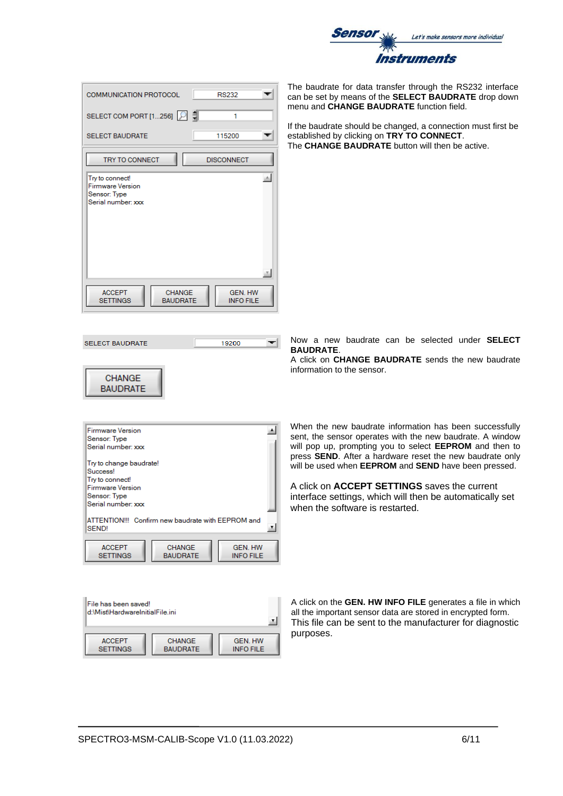

| <b>COMMUNICATION PROTOCOL</b><br><b>RS232</b>                                                              |                |
|------------------------------------------------------------------------------------------------------------|----------------|
| SELECT COM PORT [1256] P<br>1                                                                              |                |
| <b>SELECT BAUDRATE</b><br>115200                                                                           |                |
| <b>TRY TO CONNECT</b><br><b>DISCONNECT</b>                                                                 |                |
| Try to connect!<br><b>Firmware Version</b><br>Sensor: Type<br>Serial number: xxx                           | $\mathbb{A}_1$ |
| <b>ACCEPT</b><br><b>GEN. HW</b><br><b>CHANGE</b><br><b>SETTINGS</b><br><b>BAUDRATE</b><br><b>INFO FILE</b> | Ŧ.             |

**SELECT BAUDRATE** 19200  $\left. \right. \right. \left. \right. \left. \right. \left. \right. \left. \left. \right. \right. \left. \left. \right. \right. \left. \left. \right. \left. \left. \right. \right. \left. \left. \right. \right. \left. \left. \right. \left. \right. \left. \left. \right. \right. \left. \left. \right. \right. \left. \left. \right. \right. \left. \left. \right. \left. \left. \right. \right. \left. \left. \right. \right. \left. \left. \right. \right. \left. \left. \right. \$ 

### **CHANGE BAUDRATE**



| File has been saved!<br>d:\Mist\HardwareInitialFile.ini |                 |                  |
|---------------------------------------------------------|-----------------|------------------|
| <b>ACCEPT</b>                                           | <b>CHANGE</b>   | <b>GEN. HW</b>   |
| <b>SETTINGS</b>                                         | <b>BAUDRATE</b> | <b>INFO FILE</b> |

The baudrate for data transfer through the RS232 interface can be set by means of the **SELECT BAUDRATE** drop down menu and **CHANGE BAUDRATE** function field.

If the baudrate should be changed, a connection must first be established by clicking on **TRY TO CONNECT**. The **CHANGE BAUDRATE** button will then be active.

Now a new baudrate can be selected under **SELECT BAUDRATE**.

A click on **CHANGE BAUDRATE** sends the new baudrate information to the sensor.

When the new baudrate information has been successfully sent, the sensor operates with the new baudrate. A window will pop up, prompting you to select **EEPROM** and then to press **SEND**. After a hardware reset the new baudrate only will be used when **EEPROM** and **SEND** have been pressed.

A click on **ACCEPT SETTINGS** saves the current interface settings, which will then be automatically set when the software is restarted.

A click on the **GEN. HW INFO FILE** generates a file in which all the important sensor data are stored in encrypted form. This file can be sent to the manufacturer for diagnostic purposes.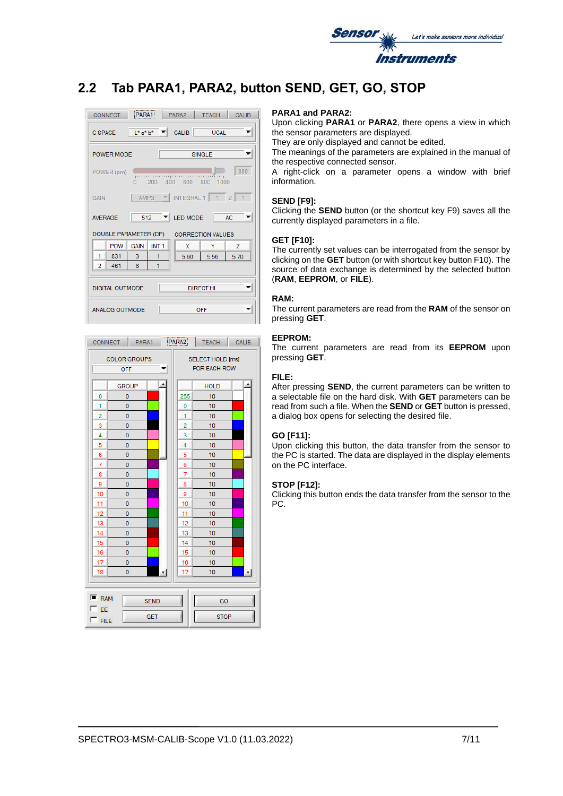

# **2.2 Tab PARA1, PARA2, button SEND, GET, GO, STOP**





#### **PARA1 and PARA2:**

Upon clicking **PARA1** or **PARA2**, there opens a view in which the sensor parameters are displayed.

They are only displayed and cannot be edited.

The meanings of the parameters are explained in the manual of the respective connected sensor.

A right-click on a parameter opens a window with brief information.

#### **SEND [F9]:**

Clicking the **SEND** button (or the shortcut key F9) saves all the currently displayed parameters in a file.

#### **GET [F10]:**

The currently set values can be interrogated from the sensor by clicking on the **GET** button (or with shortcut key button F10). The source of data exchange is determined by the selected button (**RAM**, **EEPROM**, or **FILE**).

#### **RAM:**

The current parameters are read from the **RAM** of the sensor on pressing **GET**.

#### **EEPROM:**

The current parameters are read from its **EEPROM** upon pressing **GET**.

#### **FILE:**

After pressing **SEND**, the current parameters can be written to a selectable file on the hard disk. With **GET** parameters can be read from such a file. When the **SEND** or **GET** button is pressed, a dialog box opens for selecting the desired file.

#### **GO [F11]:**

Upon clicking this button, the data transfer from the sensor to the PC is started. The data are displayed in the display elements on the PC interface.

#### **STOP [F12]:**

Clicking this button ends the data transfer from the sensor to the PC.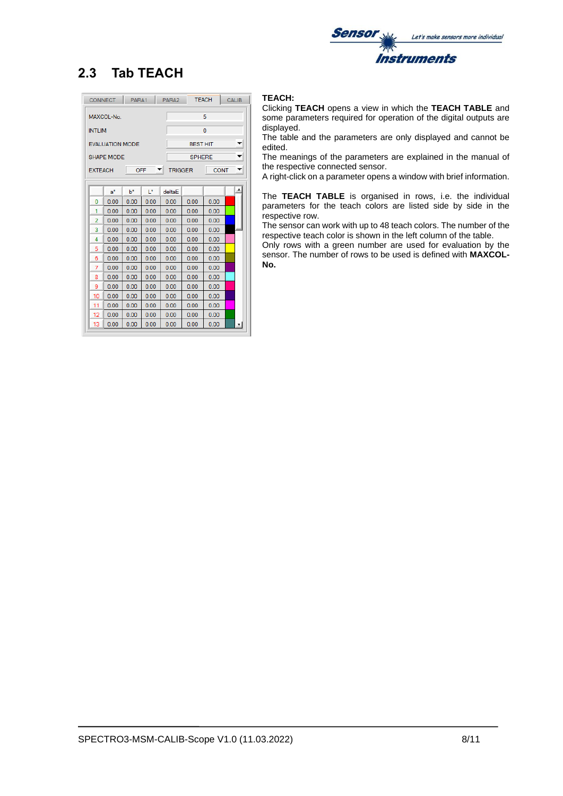

# **2.3 Tab TEACH**

|                 | <b>CONNECT</b>         | PARA1 |      | PARA <sub>2</sub>   |                 | <b>TEACH</b> | <b>CALIB</b> |
|-----------------|------------------------|-------|------|---------------------|-----------------|--------------|--------------|
| 5<br>MAXCOL-No. |                        |       |      |                     |                 |              |              |
| <b>INTLIM</b>   |                        |       |      |                     |                 | 0            |              |
|                 |                        |       |      |                     |                 |              |              |
|                 | <b>EVALUATION MODE</b> |       |      |                     | <b>BEST HIT</b> |              |              |
|                 | <b>SHAPE MODE</b>      |       |      |                     | <b>SPHERE</b>   |              | ▼            |
| <b>EXTEACH</b>  |                        | OFF   |      | ▼<br><b>TRIGGER</b> |                 | <b>CONT</b>  | ▼            |
|                 |                        |       |      |                     |                 |              |              |
|                 | $a^*$                  | $h^*$ | I*   | deltaF              |                 |              |              |
| 0               | 0.00                   | 0.00  | 0.00 | 0.00                | 0.00            | 0.00         |              |
| 1               | 0.00                   | 0.00  | 0.00 | 0.00                | 0.00            | 0.00         |              |
| 2               | 0.00                   | 0.00  | 0.00 | 0.00                | 0.00            | 0.00         |              |
| 3               | 0.00                   | 0.00  | 0.00 | 0.00                | 0.00            | 0.00         |              |
| 4               | 0.00                   | 0.00  | 0.00 | 0.00                | 0.00            | 0.00         |              |
| 5               | 0.00                   | 0.00  | 0.00 | 0.00                | 0.00            | 0.00         |              |
| 6               | 0.00                   | 0.00  | 0.00 | 0.00                | 0.00            | 0.00         |              |
| 7               | 0.00                   | 0.00  | 0.00 | 0.00                | 0.00            | 0.00         |              |
| 8               | 0.00                   | 0.00  | 0.00 | 0.00                | 0.00            | 0.00         |              |
| 9               | 0.00                   | 0.00  | 0.00 | 0.00                | 0.00            | 0.00         |              |
| 10              | 0.00                   | 0.00  | 0.00 | 0.00                | 0.00            | 0.00         |              |
| 11              | 0.00                   | 0.00  | 0.00 | 0.00                | 0.00            | 0.00         |              |
| 12              | 0.00                   | 0.00  | 0.00 | 0.00                | 0.00            | 0.00         |              |
| 13              | 0.00                   | 0.00  | 0.00 | 0.00                | 0.00            | 0.00         | ۳            |

### **TEACH:**

Clicking **TEACH** opens a view in which the **TEACH TABLE** and some parameters required for operation of the digital outputs are displayed.

The table and the parameters are only displayed and cannot be edited.

The meanings of the parameters are explained in the manual of the respective connected sensor.

A right-click on a parameter opens a window with brief information.

The **TEACH TABLE** is organised in rows, i.e. the individual parameters for the teach colors are listed side by side in the respective row.

The sensor can work with up to 48 teach colors. The number of the respective teach color is shown in the left column of the table.

Only rows with a green number are used for evaluation by the sensor. The number of rows to be used is defined with **MAXCOL-No.**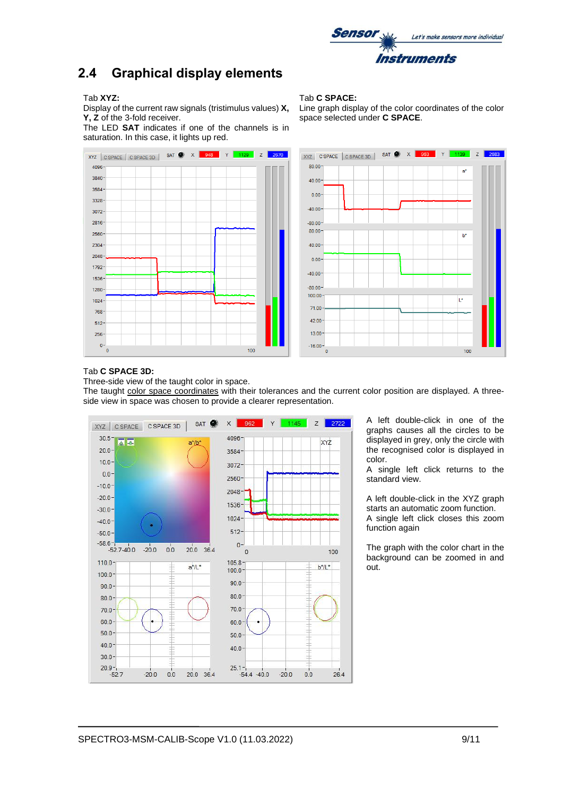

## **2.4 Graphical display elements**

#### Tab **XYZ:**

Display of the current raw signals (tristimulus values) **X, Y, Z** of the 3-fold receiver.

The LED **SAT** indicates if one of the channels is in saturation. In this case, it lights up red.





Line graph display of the color coordinates of the color space selected under **C SPACE**.



#### Tab **C SPACE 3D:**

Three-side view of the taught color in space.

The taught color space coordinates with their tolerances and the current color position are displayed. A threeside view in space was chosen to provide a clearer representation.



A left double-click in one of the graphs causes all the circles to be displayed in grey, only the circle with the recognised color is displayed in color.

A single left click returns to the standard view.

A left double-click in the XYZ graph starts an automatic zoom function. A single left click closes this zoom function again

The graph with the color chart in the background can be zoomed in and out.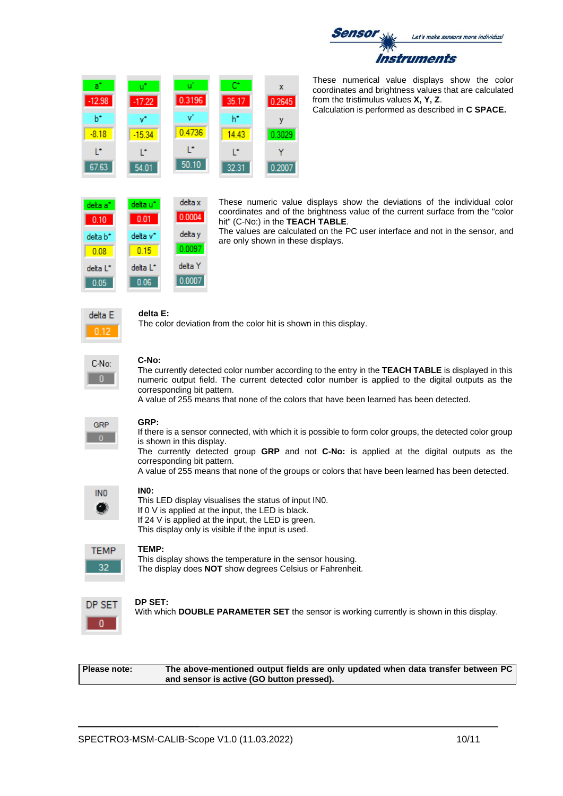

These numerical value displays show the color coordinates and brightness values that are calculated from the tristimulus values **X, Y, Z**.

Calculation is performed as described in **C SPACE.**

| delta a* | delta u*             | delta x |
|----------|----------------------|---------|
| 0.10     | 0.01                 | 0.0004  |
| delta b* | delta v*             | delta y |
| 0.08     | 0.15                 | 0.0097  |
| delta L* | delta L <sup>*</sup> | delta Y |

 $0.06$ 

 $-17.22$ 

 $-15.34$ 

١ŕ

54.01

0.3196

 $\mathbf{v}^{\prime}$ 

0.4736

Ē,

 $50.10$ 

 $|0.0007$ 

 $35.17$ 

 $h^*$ 

14.43

Ľ

32.31

These numeric value displays show the deviations of the individual color coordinates and of the brightness value of the current surface from the "color hit" (C-No:) in the **TEACH TABLE**.

The values are calculated on the PC user interface and not in the sensor, and are only shown in these displays.



 $0.05$ 

 $\overline{a}$ 

 $-12.98$ 

 $b^*$ 

 $-8.18$ 

T.

67.63

### **delta E:**

The color deviation from the color hit is shown in this display.

 $\bar{\mathbf{x}}$ 

0.2645

v

0.3029

Ÿ

0.2007

| C-No: |
|-------|
|       |

### **C-No:**

The currently detected color number according to the entry in the **TEACH TABLE** is displayed in this numeric output field. The current detected color number is applied to the digital outputs as the corresponding bit pattern.

A value of 255 means that none of the colors that have been learned has been detected.

| GRP |  |
|-----|--|
|     |  |

### **GRP:**

If there is a sensor connected, with which it is possible to form color groups, the detected color group is shown in this display.

The currently detected group **GRP** and not **C-No:** is applied at the digital outputs as the corresponding bit pattern.

A value of 255 means that none of the groups or colors that have been learned has been detected.

| INO |
|-----|
|     |

## **IN0:**

This LED display visualises the status of input IN0. If 0 V is applied at the input, the LED is black. If 24 V is applied at the input, the LED is green. This display only is visible if the input is used.

### **TEMP:**

This display shows the temperature in the sensor housing. The display does **NOT** show degrees Celsius or Fahrenheit.

### **DP SET:**

With which **DOUBLE PARAMETER SET** the sensor is working currently is shown in this display.

**Please note: The above-mentioned output fields are only updated when data transfer between PC and sensor is active (GO button pressed).**